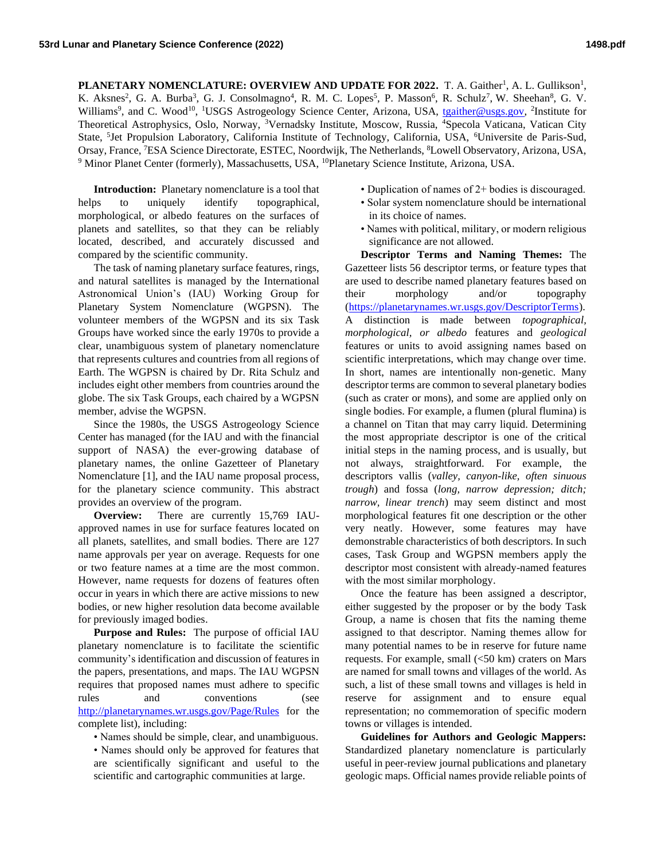PLANETARY NOMENCLATURE: OVERVIEW AND UPDATE FOR 2022. T. A. Gaither<sup>1</sup>, A. L. Gullikson<sup>1</sup>, K. Aksnes<sup>2</sup>, G. A. Burba<sup>3</sup>, G. J. Consolmagno<sup>4</sup>, R. M. C. Lopes<sup>5</sup>, P. Masson<sup>6</sup>, R. Schulz<sup>7</sup>, W. Sheehan<sup>8</sup>, G. V. Williams<sup>9</sup>, and C. Wood<sup>10</sup>, <sup>1</sup>USGS Astrogeology Science Center, Arizona, USA, [tgaither@usgs.gov,](mailto:tgaither@usgs.gov) <sup>2</sup>Institute for Theoretical Astrophysics, Oslo, Norway, <sup>3</sup>Vernadsky Institute, Moscow, Russia, <sup>4</sup>Specola Vaticana, Vatican City State, <sup>5</sup>Jet Propulsion Laboratory, California Institute of Technology, California, USA, <sup>6</sup>Universite de Paris-Sud, Orsay, France, <sup>7</sup>ESA Science Directorate, ESTEC, Noordwijk, The Netherlands, <sup>8</sup>Lowell Observatory, Arizona, USA, <sup>9</sup> Minor Planet Center (formerly), Massachusetts, USA, <sup>10</sup>Planetary Science Institute, Arizona, USA.

**Introduction:** Planetary nomenclature is a tool that helps to uniquely identify topographical, morphological, or albedo features on the surfaces of planets and satellites, so that they can be reliably located, described, and accurately discussed and compared by the scientific community.

The task of naming planetary surface features, rings, and natural satellites is managed by the International Astronomical Union's (IAU) Working Group for Planetary System Nomenclature (WGPSN). The volunteer members of the WGPSN and its six Task Groups have worked since the early 1970s to provide a clear, unambiguous system of planetary nomenclature that represents cultures and countries from all regions of Earth. The WGPSN is chaired by Dr. Rita Schulz and includes eight other members from countries around the globe. The six Task Groups, each chaired by a WGPSN member, advise the WGPSN.

Since the 1980s, the USGS Astrogeology Science Center has managed (for the IAU and with the financial support of NASA) the ever-growing database of planetary names, the online Gazetteer of Planetary Nomenclature [1], and the IAU name proposal process, for the planetary science community. This abstract provides an overview of the program.

**Overview:** There are currently 15,769 IAUapproved names in use for surface features located on all planets, satellites, and small bodies. There are 127 name approvals per year on average. Requests for one or two feature names at a time are the most common. However, name requests for dozens of features often occur in years in which there are active missions to new bodies, or new higher resolution data become available for previously imaged bodies.

**Purpose and Rules:** The purpose of official IAU planetary nomenclature is to facilitate the scientific community's identification and discussion of features in the papers, presentations, and maps. The IAU WGPSN requires that proposed names must adhere to specific rules and conventions (see <http://planetarynames.wr.usgs.gov/Page/Rules> for the complete list), including:

- Names should be simple, clear, and unambiguous.
- Names should only be approved for features that are scientifically significant and useful to the scientific and cartographic communities at large.
- Duplication of names of 2+ bodies is discouraged.
- Solar system nomenclature should be international in its choice of names.
- Names with political, military, or modern religious significance are not allowed.

**Descriptor Terms and Naming Themes:** The Gazetteer lists 56 descriptor terms, or feature types that are used to describe named planetary features based on their morphology and/or topography [\(https://planetarynames.wr.usgs.gov/DescriptorTerms\)](https://planetarynames.wr.usgs.gov/DescriptorTerms). A distinction is made between *topographical, morphological, or albedo* features and *geological* features or units to avoid assigning names based on scientific interpretations, which may change over time. In short, names are intentionally non-genetic. Many descriptor terms are common to several planetary bodies (such as crater or mons), and some are applied only on single bodies. For example, a flumen (plural flumina) is a channel on Titan that may carry liquid. Determining the most appropriate descriptor is one of the critical initial steps in the naming process, and is usually, but not always, straightforward. For example, the descriptors vallis (*valley, canyon-like, often sinuous trough*) and fossa (*long, narrow depression; ditch; narrow, linear trench*) may seem distinct and most morphological features fit one description or the other very neatly. However, some features may have demonstrable characteristics of both descriptors. In such cases, Task Group and WGPSN members apply the descriptor most consistent with already-named features with the most similar morphology.

Once the feature has been assigned a descriptor, either suggested by the proposer or by the body Task Group, a name is chosen that fits the naming theme assigned to that descriptor. Naming themes allow for many potential names to be in reserve for future name requests. For example, small  $( $50 \text{ km}$ )$  craters on Mars are named for small towns and villages of the world. As such, a list of these small towns and villages is held in reserve for assignment and to ensure equal representation; no commemoration of specific modern towns or villages is intended.

**Guidelines for Authors and Geologic Mappers:** Standardized planetary nomenclature is particularly useful in peer-review journal publications and planetary geologic maps. Official names provide reliable points of